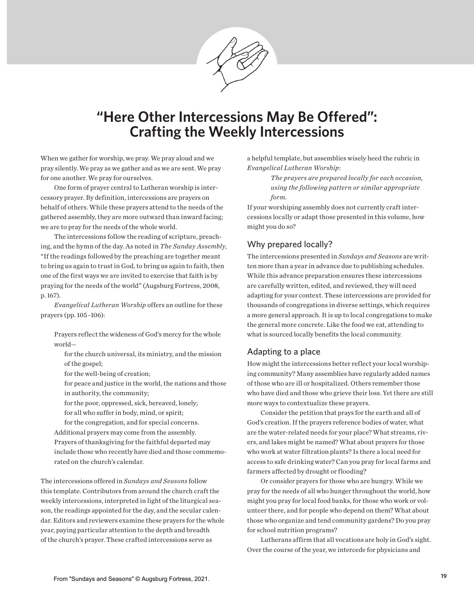

# **"Here Other Intercessions May Be Offered": Crafting the Weekly Intercessions**

When we gather for worship, we pray. We pray aloud and we pray silently. We pray as we gather and as we are sent. We pray for one another. We pray for ourselves.

One form of prayer central to Lutheran worship is intercessory prayer. By definition, intercessions are prayers on behalf of others. While these prayers attend to the needs of the gathered assembly, they are more outward than inward facing; we are to pray for the needs of the whole world.

The intercessions follow the reading of scripture, preaching, and the hymn of the day. As noted in *The Sunday Assembly*, "If the readings followed by the preaching are together meant to bring us again to trust in God, to bring us again to faith, then one of the first ways we are invited to exercise that faith is by praying for the needs of the world" (Augsburg Fortress, 2008, p. 167).

*Evangelical Lutheran Worship* offers an outline for these prayers (pp. 105–106):

Prayers reflect the wideness of God's mercy for the whole world—

for the church universal, its ministry, and the mission of the gospel;

for the well-being of creation;

for peace and justice in the world, the nations and those in authority, the community;

for the poor, oppressed, sick, bereaved, lonely; for all who suffer in body, mind, or spirit;

for the congregation, and for special concerns. Additional prayers may come from the assembly. Prayers of thanksgiving for the faithful departed may include those who recently have died and those commemorated on the church's calendar.

The intercessions offered in *Sundays and Seasons* follow this template. Contributors from around the church craft the weekly intercessions, interpreted in light of the liturgical season, the readings appointed for the day, and the secular calendar. Editors and reviewers examine these prayers for the whole year, paying particular attention to the depth and breadth of the church's prayer. These crafted intercessions serve as

a helpful template, but assemblies wisely heed the rubric in *Evangelical Lutheran Worship*:

> *The prayers are prepared locally for each occasion, using the following pattern or similar appropriate form.*

If your worshiping assembly does not currently craft intercessions locally or adapt those presented in this volume, how might you do so?

## Why prepared locally?

The intercessions presented in *Sundays and Seasons* are written more than a year in advance due to publishing schedules. While this advance preparation ensures these intercessions are carefully written, edited, and reviewed, they will need adapting for your context. These intercessions are provided for thousands of congregations in diverse settings, which requires a more general approach. It is up to local congregations to make the general more concrete. Like the food we eat, attending to what is sourced locally benefits the local community.

#### Adapting to a place

How might the intercessions better reflect your local worshiping community? Many assemblies have regularly added names of those who are ill or hospitalized. Others remember those who have died and those who grieve their loss. Yet there are still more ways to contextualize these prayers.

Consider the petition that prays for the earth and all of God's creation. If the prayers reference bodies of water, what are the water-related needs for your place? What streams, rivers, and lakes might be named? What about prayers for those who work at water filtration plants? Is there a local need for access to safe drinking water? Can you pray for local farms and farmers affected by drought or flooding?

Or consider prayers for those who are hungry. While we pray for the needs of all who hunger throughout the world, how might you pray for local food banks, for those who work or volunteer there, and for people who depend on them? What about those who organize and tend community gardens? Do you pray for school nutrition programs?

Lutherans affirm that all vocations are holy in God's sight. Over the course of the year, we intercede for physicians and